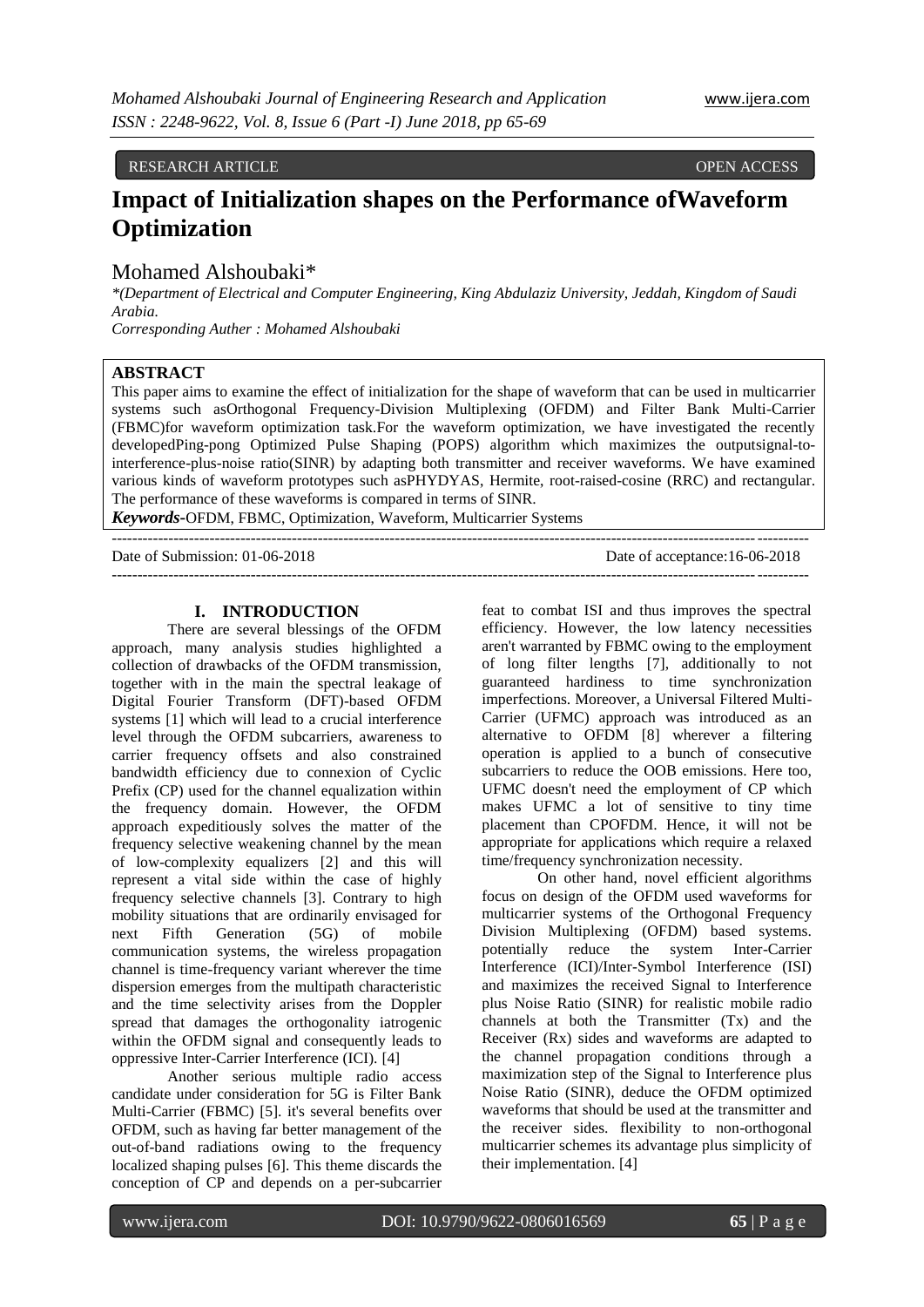## RESEARCH ARTICLE OPEN ACCESS

# **Impact of Initialization shapes on the Performance ofWaveform Optimization**

## Mohamed Alshoubaki\*

*\*(Department of Electrical and Computer Engineering, King Abdulaziz University, Jeddah, Kingdom of Saudi Arabia.* 

*Corresponding Auther : Mohamed Alshoubaki*

#### **ABSTRACT**

This paper aims to examine the effect of initialization for the shape of waveform that can be used in multicarrier systems such asOrthogonal Frequency-Division Multiplexing (OFDM) and Filter Bank Multi-Carrier (FBMC)for waveform optimization task.For the waveform optimization, we have investigated the recently developedPing-pong Optimized Pulse Shaping (POPS) algorithm which maximizes the outputsignal-tointerference-plus-noise ratio(SINR) by adapting both transmitter and receiver waveforms. We have examined various kinds of waveform prototypes such asPHYDYAS, Hermite, root-raised-cosine (RRC) and rectangular. The performance of these waveforms is compared in terms of SINR.

---------------------------------------------------------------------------------------------------------------------------------------

*Keywords***-**OFDM, FBMC, Optimization, Waveform, Multicarrier Systems

Date of Submission: 01-06-2018 Date of acceptance:16-06-2018 ---------------------------------------------------------------------------------------------------------------------------------------

#### **I. INTRODUCTION**

There are several blessings of the OFDM approach, many analysis studies highlighted a collection of drawbacks of the OFDM transmission, together with in the main the spectral leakage of Digital Fourier Transform (DFT)-based OFDM systems [1] which will lead to a crucial interference level through the OFDM subcarriers, awareness to carrier frequency offsets and also constrained bandwidth efficiency due to connexion of Cyclic Prefix (CP) used for the channel equalization within the frequency domain. However, the OFDM approach expeditiously solves the matter of the frequency selective weakening channel by the mean of low-complexity equalizers [2] and this will represent a vital side within the case of highly frequency selective channels [3]. Contrary to high mobility situations that are ordinarily envisaged for next Fifth Generation (5G) of mobile communication systems, the wireless propagation channel is time-frequency variant wherever the time dispersion emerges from the multipath characteristic and the time selectivity arises from the Doppler spread that damages the orthogonality iatrogenic within the OFDM signal and consequently leads to oppressive Inter-Carrier Interference (ICI). [4]

Another serious multiple radio access candidate under consideration for 5G is Filter Bank Multi-Carrier (FBMC) [5]. it's several benefits over OFDM, such as having far better management of the out-of-band radiations owing to the frequency localized shaping pulses [6]. This theme discards the conception of CP and depends on a per-subcarrier

feat to combat ISI and thus improves the spectral efficiency. However, the low latency necessities aren't warranted by FBMC owing to the employment of long filter lengths [7], additionally to not guaranteed hardiness to time synchronization imperfections. Moreover, a Universal Filtered Multi-Carrier (UFMC) approach was introduced as an alternative to OFDM [8] wherever a filtering operation is applied to a bunch of consecutive subcarriers to reduce the OOB emissions. Here too, UFMC doesn't need the employment of CP which makes UFMC a lot of sensitive to tiny time placement than CPOFDM. Hence, it will not be appropriate for applications which require a relaxed time/frequency synchronization necessity.

On other hand, novel efficient algorithms focus on design of the OFDM used waveforms for multicarrier systems of the Orthogonal Frequency Division Multiplexing (OFDM) based systems. potentially reduce the system Inter-Carrier Interference (ICI)/Inter-Symbol Interference (ISI) and maximizes the received Signal to Interference plus Noise Ratio (SINR) for realistic mobile radio channels at both the Transmitter (Tx) and the Receiver (Rx) sides and waveforms are adapted to the channel propagation conditions through a maximization step of the Signal to Interference plus Noise Ratio (SINR), deduce the OFDM optimized waveforms that should be used at the transmitter and the receiver sides. flexibility to non-orthogonal multicarrier schemes its advantage plus simplicity of their implementation. [4]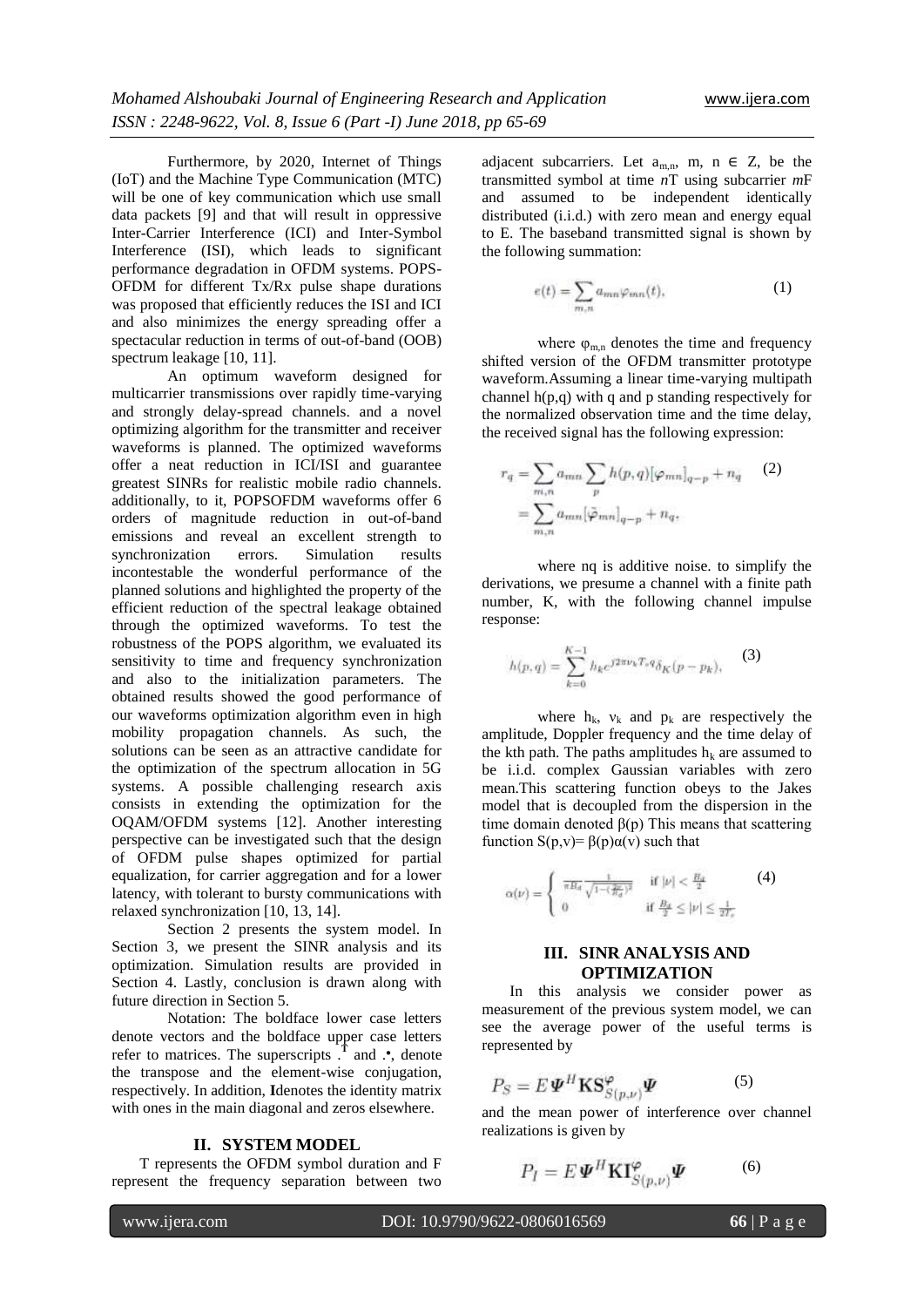Furthermore, by 2020, Internet of Things (IoT) and the Machine Type Communication (MTC) will be one of key communication which use small data packets [9] and that will result in oppressive Inter-Carrier Interference (ICI) and Inter-Symbol Interference (ISI), which leads to significant performance degradation in OFDM systems. POPS-OFDM for different Tx/Rx pulse shape durations was proposed that efficiently reduces the ISI and ICI and also minimizes the energy spreading offer a spectacular reduction in terms of out-of-band (OOB) spectrum leakage [10, 11].

An optimum waveform designed for multicarrier transmissions over rapidly time-varying and strongly delay-spread channels. and a novel optimizing algorithm for the transmitter and receiver waveforms is planned. The optimized waveforms offer a neat reduction in ICI/ISI and guarantee greatest SINRs for realistic mobile radio channels. additionally, to it, POPSOFDM waveforms offer 6 orders of magnitude reduction in out-of-band emissions and reveal an excellent strength to<br>synchronization errors. Simulation results synchronization errors. Simulation results incontestable the wonderful performance of the planned solutions and highlighted the property of the efficient reduction of the spectral leakage obtained through the optimized waveforms. To test the robustness of the POPS algorithm, we evaluated its sensitivity to time and frequency synchronization and also to the initialization parameters. The obtained results showed the good performance of our waveforms optimization algorithm even in high mobility propagation channels. As such, the solutions can be seen as an attractive candidate for the optimization of the spectrum allocation in 5G systems. A possible challenging research axis consists in extending the optimization for the OQAM/OFDM systems [12]. Another interesting perspective can be investigated such that the design of OFDM pulse shapes optimized for partial equalization, for carrier aggregation and for a lower latency, with tolerant to bursty communications with relaxed synchronization [10, 13, 14].

Section 2 presents the system model. In Section 3, we present the SINR analysis and its optimization. Simulation results are provided in Section 4. Lastly, conclusion is drawn along with future direction in Section 5.

Notation: The boldface lower case letters denote vectors and the boldface upper case letters refer to matrices. The superscripts  $\overline{I}$  and  $\cdot$ , denote the transpose and the element-wise conjugation, respectively. In addition, **I**denotes the identity matrix with ones in the main diagonal and zeros elsewhere.

#### **II. SYSTEM MODEL**

T represents the OFDM symbol duration and F represent the frequency separation between two

adjacent subcarriers. Let  $a_{m,n}$ ,  $m, n \in \mathbb{Z}$ , be the transmitted symbol at time *n*T using subcarrier *m*F and assumed to be independent identically distributed (i.i.d.) with zero mean and energy equal to E. The baseband transmitted signal is shown by the following summation:

$$
e(t) = \sum_{m,n} a_{mn} \varphi_{mn}(t), \qquad (1)
$$

where  $\varphi_{m,n}$  denotes the time and frequency shifted version of the OFDM transmitter prototype waveform.Assuming a linear time-varying multipath channel h(p,q) with q and p standing respectively for the normalized observation time and the time delay, the received signal has the following expression:

$$
r_q = \sum_{m,n} a_{mn} \sum_p h(p,q) [\varphi_{mn}]_{q-p} + n_q \qquad (2)
$$

$$
= \sum_{m,n} a_{mn} [\bar{\varphi}_{mn}]_{q-p} + n_q,
$$

where nq is additive noise. to simplify the derivations, we presume a channel with a finite path number, K, with the following channel impulse response:

$$
h(p,q) = \sum_{k=0}^{K-1} h_k e^{j2\pi\nu_k T_p q} \delta_K(p - p_k), \tag{3}
$$

where  $h_k$ ,  $v_k$  and  $p_k$  are respectively the amplitude, Doppler frequency and the time delay of the kth path. The paths amplitudes  $h_k$  are assumed to be i.i.d. complex Gaussian variables with zero mean.This scattering function obeys to the Jakes model that is decoupled from the dispersion in the time domain denoted  $β(p)$  This means that scattering function S(p,v)= β(p)α(v) such that

$$
\alpha(\nu) = \begin{cases} \frac{1}{\pi B_d} \frac{1}{\sqrt{1 - (\frac{2\nu}{B_d})^2}} & \text{if } |\nu| < \frac{B_d}{2} \\ 0 & \text{if } \frac{B_d}{2} \le |\nu| \le \frac{1}{2T_c} \end{cases}
$$
 (4)

### **III. SINR ANALYSIS AND OPTIMIZATION**

In this analysis we consider power as measurement of the previous system model, we can see the average power of the useful terms is represented by

$$
P_S = E \boldsymbol{\varPsi}^H \mathbf{K} \mathbf{S}_{S(p,\nu)}^{\varphi} \boldsymbol{\varPsi}
$$
 (5)

and the mean power of interference over channel realizations is given by

$$
P_I = E \boldsymbol{\varPsi}^H \mathbf{KI}^{\varphi}_{S(p,\nu)} \boldsymbol{\varPsi}
$$
 (6)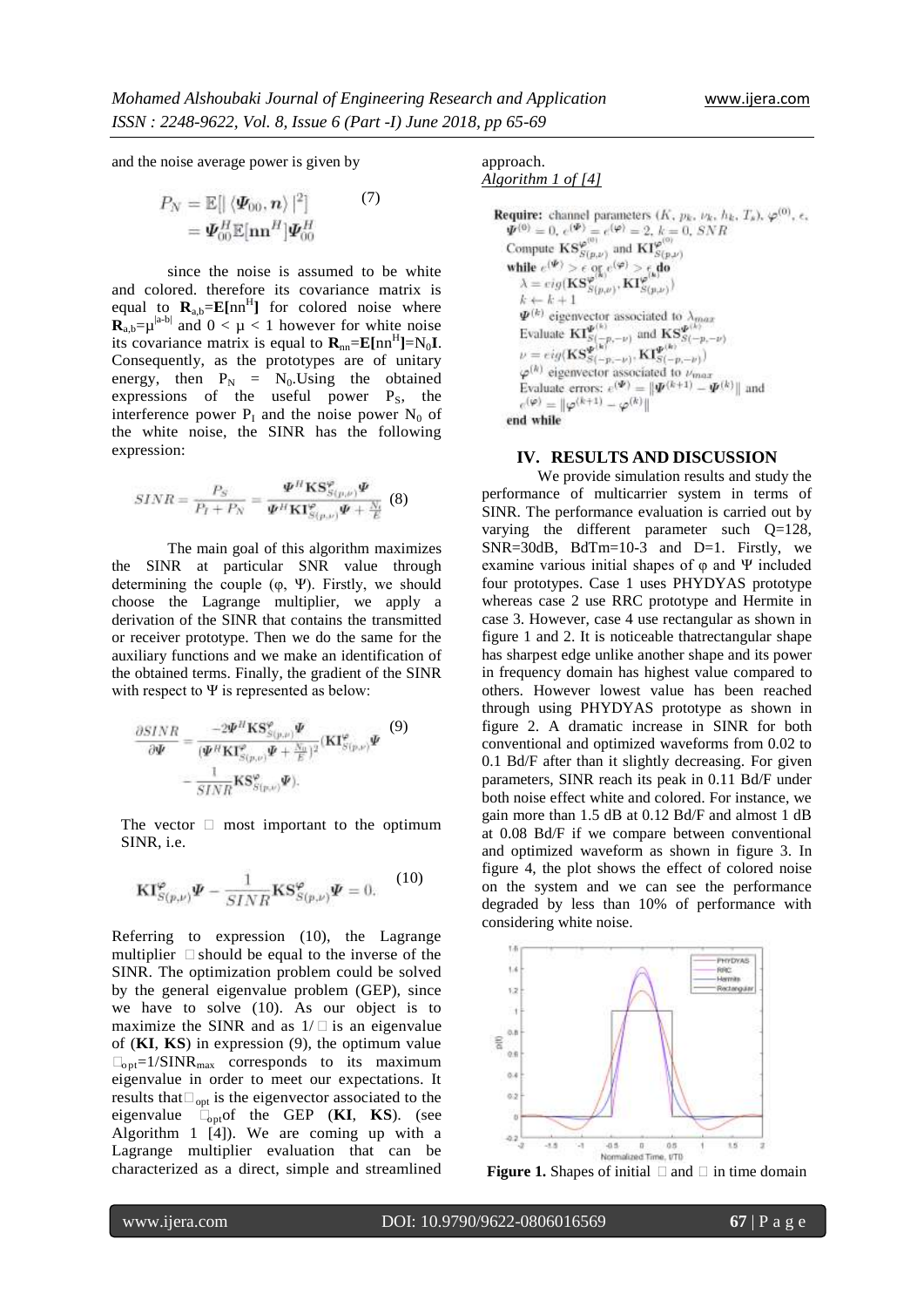and the noise average power is given by

$$
P_N = \mathbb{E}[|\langle \boldsymbol{\varPsi}_{00}, \boldsymbol{n} \rangle|^2] \tag{7}
$$

$$
= \boldsymbol{\varPsi}_{00}^H \mathbb{E}[\mathbf{n}\mathbf{n}^H] \boldsymbol{\varPsi}_{00}^H
$$

since the noise is assumed to be white and colored. therefore its covariance matrix is equal to  $\mathbf{R}_{a,b} = \mathbf{E}[\text{nn}^H]$  for colored noise where  $\mathbf{R}_{a,b} = \mu^{|a-b|}$  and  $0 < \mu < 1$  however for white noise its covariance matrix is equal to  $\mathbf{R}_{nn} = \mathbf{E}[nn^H] = N_0 \mathbf{I}$ . Consequently, as the prototypes are of unitary energy, then  $P_N = N_0$ . Using the obtained expressions of the useful power  $P_s$ , the interference power  $P_I$  and the noise power  $N_0$  of the white noise, the SINR has the following expression:

$$
SINR = \frac{P_S}{P_I + P_N} = \frac{\Psi^H \mathbf{K} \mathbf{S}_{S(p,\nu)}^{\varphi} \Psi}{\Psi^H \mathbf{K} \mathbf{I}_{S(p,\nu)}^{\varphi} \Psi + \frac{N_0}{E}} \tag{8}
$$

The main goal of this algorithm maximizes the SINR at particular SNR value through determining the couple  $(\varphi, \Psi)$ . Firstly, we should choose the Lagrange multiplier, we apply a derivation of the SINR that contains the transmitted or receiver prototype. Then we do the same for the auxiliary functions and we make an identification of the obtained terms. Finally, the gradient of the SINR with respect to  $\Psi$  is represented as below:

$$
\frac{\partial SINR}{\partial \Psi} = \frac{-2\Psi^H \mathbf{K} \mathbf{S}_{S(p,\nu)}^{\varphi} \Psi}{(\Psi^H \mathbf{K} \mathbf{I}_{S(p,\nu)}^{\varphi} \Psi + \frac{N_0}{E})^2} (\mathbf{K} \mathbf{I}_{S(p,\nu)}^{\varphi} \Psi \tag{9}
$$
\n
$$
= \frac{1}{SINR} \mathbf{K} \mathbf{S}_{S(p,\nu)}^{\varphi} \Psi.
$$

The vector  $\Box$  most important to the optimum SINR, i.e.

$$
\mathbf{K} \mathbf{I}_{S(p,\nu)}^{\varphi} \Psi - \frac{1}{SINR} \mathbf{K} \mathbf{S}_{S(p,\nu)}^{\varphi} \Psi = 0.
$$
 (10)

Referring to expression (10), the Lagrange multiplier **□** should be equal to the inverse of the SINR. The optimization problem could be solved by the general eigenvalue problem (GEP), since we have to solve (10). As our object is to maximize the SINR and as  $1/\Box$  is an eigenvalue of (**KI**, **KS**) in expression (9), the optimum value  $\Box_{\text{opt}}=1/\text{SINR}_{\text{max}}$  corresponds to its maximum eigenvalue in order to meet our expectations. It results that**Ψ**opt is the eigenvector associated to the eigenvalue  $\mathbf{L}_{\text{opt}}$  of the GEP (**KI**, **KS**). (see Algorithm 1 [4]). We are coming up with a Lagrange multiplier evaluation that can be characterized as a direct, simple and streamlined

#### approach. *Algorithm 1 of [4]*

```
Require: channel parameters (K, p_k, \nu_k, h_k, T_s), \varphi^{(0)}, \varepsilon,
      dequire: channel parameters (K, p_k, \nu_k, h_k)<br>
\Psi^{(0)} = 0, e^{(\Psi)} = e^{(\varphi)} = 2, k = 0, SNR<br>
Compute \mathbf{KS}^{(\varphi)}_{S(p,\nu)} and \mathbf{KI}^{(\varphi)}_{S(p,\nu)}<br>
while e^{(\Psi)} > \epsilon or e^{(\varphi)} > \epsilon do<br>
\lambda = \epsilon i g(\mathbf{KS}^{(\varphi(k))}_{S(p,\nu)}, \mathbf{KI}^{(\varphi(k))}_{S(p,\nu)})<br>
k \leftk \leftarrow k + 1\Phi^{(k)} eigenvector associated to \lambda_{max}<br>
Evaluate \mathbf{Kl}_{S(-p,-\nu)}^{g(k)} and \mathbf{KS}_{S(-p,-\nu)}^{g(k)}<br>
\nu = eig(\mathbf{KS}_{S(-p,-\nu)}^{g(k)}, \mathbf{Kl}_{S(-p,-\nu)}^{g(k)})<br>
\varphi^{(h)} eigenvector associated to \nu_{max}<br>
Evaluate errors: e^{(\Psi)} = ||\Psi^{(k+1e^{(\varphi)}=\|\varphi^{(k+1)}-\varphi^{(k)}\|end while
```
#### **IV. RESULTS AND DISCUSSION**

We provide simulation results and study the performance of multicarrier system in terms of SINR. The performance evaluation is carried out by varying the different parameter such Q=128,  $SNR = 30dB$ ,  $BdTm = 10-3$  and  $D=1$ . Firstly, we examine various initial shapes of  $\varphi$  and  $\Psi$  included four prototypes. Case 1 uses PHYDYAS prototype whereas case 2 use RRC prototype and Hermite in case 3. However, case 4 use rectangular as shown in figure 1 and 2. It is noticeable thatrectangular shape has sharpest edge unlike another shape and its power in frequency domain has highest value compared to others. However lowest value has been reached through using PHYDYAS prototype as shown in figure 2. A dramatic increase in SINR for both conventional and optimized waveforms from 0.02 to 0.1 Bd/F after than it slightly decreasing. For given parameters, SINR reach its peak in 0.11 Bd/F under both noise effect white and colored. For instance, we gain more than 1.5 dB at 0.12 Bd/F and almost 1 dB at 0.08 Bd/F if we compare between conventional and optimized waveform as shown in figure 3. In figure 4, the plot shows the effect of colored noise on the system and we can see the performance degraded by less than 10% of performance with considering white noise.



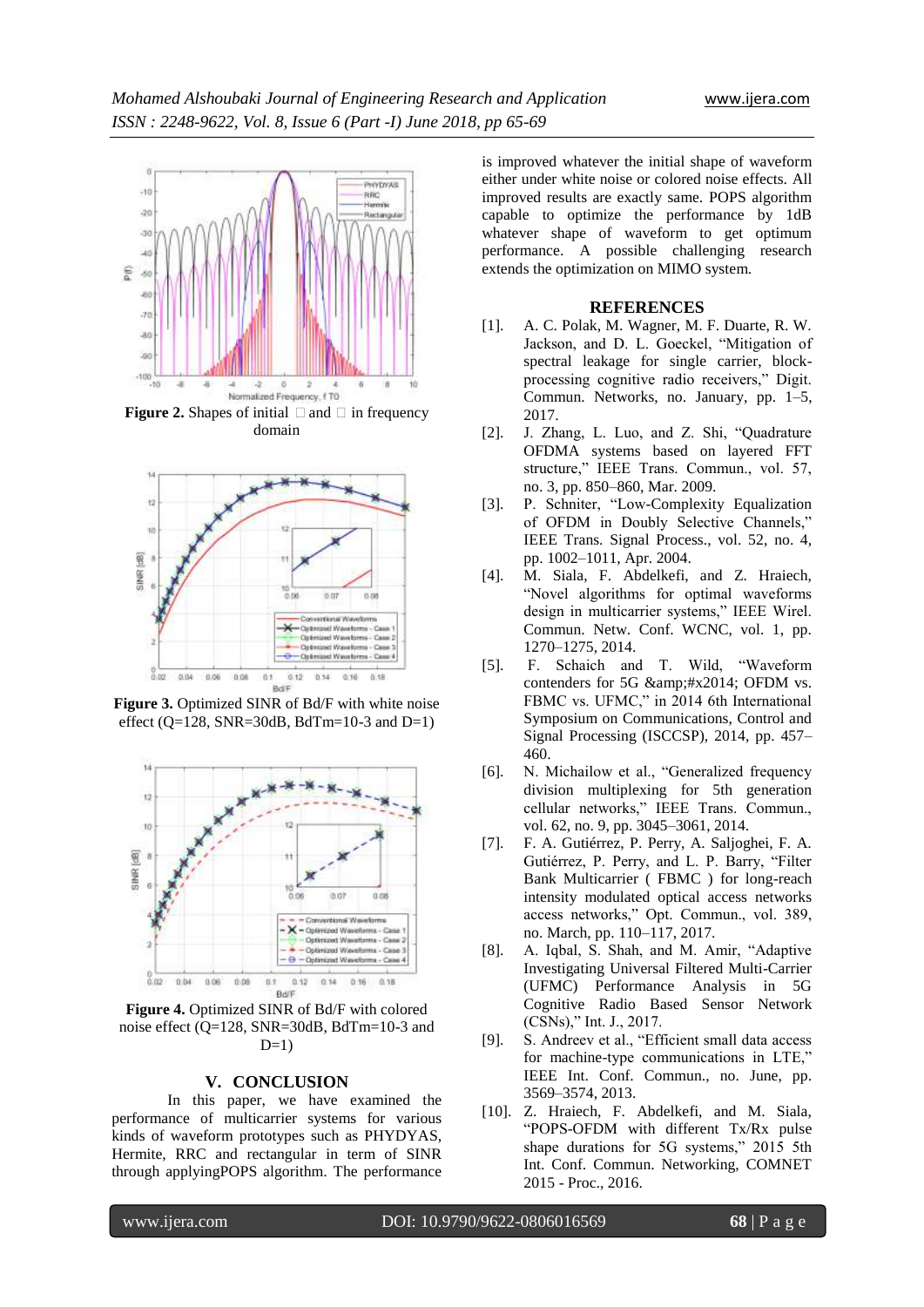

**Figure 2.** Shapes of initial  $\Box$  and  $\Box$  in frequency domain



**Figure 3.** Optimized SINR of Bd/F with white noise effect ( $Q=128$ , SNR=30dB, BdTm=10-3 and D=1)



**Figure 4.** Optimized SINR of Bd/F with colored noise effect (Q=128, SNR=30dB, BdTm=10-3 and  $D=1$ )

#### **V. CONCLUSION**

In this paper, we have examined the performance of multicarrier systems for various kinds of waveform prototypes such as PHYDYAS, Hermite, RRC and rectangular in term of SINR through applyingPOPS algorithm. The performance

is improved whatever the initial shape of waveform either under white noise or colored noise effects. All improved results are exactly same. POPS algorithm capable to optimize the performance by 1dB whatever shape of waveform to get optimum performance. A possible challenging research extends the optimization on MIMO system.

#### **REFERENCES**

- [1]. A. C. Polak, M. Wagner, M. F. Duarte, R. W. Jackson, and D. L. Goeckel, "Mitigation of spectral leakage for single carrier, blockprocessing cognitive radio receivers," Digit. Commun. Networks, no. January, pp. 1–5, 2017.
- [2]. J. Zhang, L. Luo, and Z. Shi, "Quadrature OFDMA systems based on layered FFT structure," IEEE Trans. Commun., vol. 57, no. 3, pp. 850–860, Mar. 2009.
- [3]. P. Schniter, "Low-Complexity Equalization of OFDM in Doubly Selective Channels," IEEE Trans. Signal Process., vol. 52, no. 4, pp. 1002–1011, Apr. 2004.
- [4]. M. Siala, F. Abdelkefi, and Z. Hraiech, "Novel algorithms for optimal waveforms design in multicarrier systems," IEEE Wirel. Commun. Netw. Conf. WCNC, vol. 1, pp. 1270–1275, 2014.
- [5]. F. Schaich and T. Wild, "Waveform contenders for 5G & amp;#x2014; OFDM vs. FBMC vs. UFMC," in 2014 6th International Symposium on Communications, Control and Signal Processing (ISCCSP), 2014, pp. 457– 460.
- [6]. N. Michailow et al., "Generalized frequency division multiplexing for 5th generation cellular networks," IEEE Trans. Commun., vol. 62, no. 9, pp. 3045–3061, 2014.
- [7]. F. A. Gutiérrez, P. Perry, A. Saljoghei, F. A. Gutiérrez, P. Perry, and L. P. Barry, "Filter Bank Multicarrier ( FBMC ) for long-reach intensity modulated optical access networks access networks," Opt. Commun., vol. 389, no. March, pp. 110–117, 2017.
- [8]. A. Iqbal, S. Shah, and M. Amir, "Adaptive Investigating Universal Filtered Multi-Carrier (UFMC) Performance Analysis in 5G Cognitive Radio Based Sensor Network (CSNs)," Int. J., 2017.
- [9]. S. Andreev et al., "Efficient small data access for machine-type communications in LTE," IEEE Int. Conf. Commun., no. June, pp. 3569–3574, 2013.
- [10]. Z. Hraiech, F. Abdelkefi, and M. Siala, "POPS-OFDM with different Tx/Rx pulse shape durations for 5G systems," 2015 5th Int. Conf. Commun. Networking, COMNET 2015 - Proc., 2016.